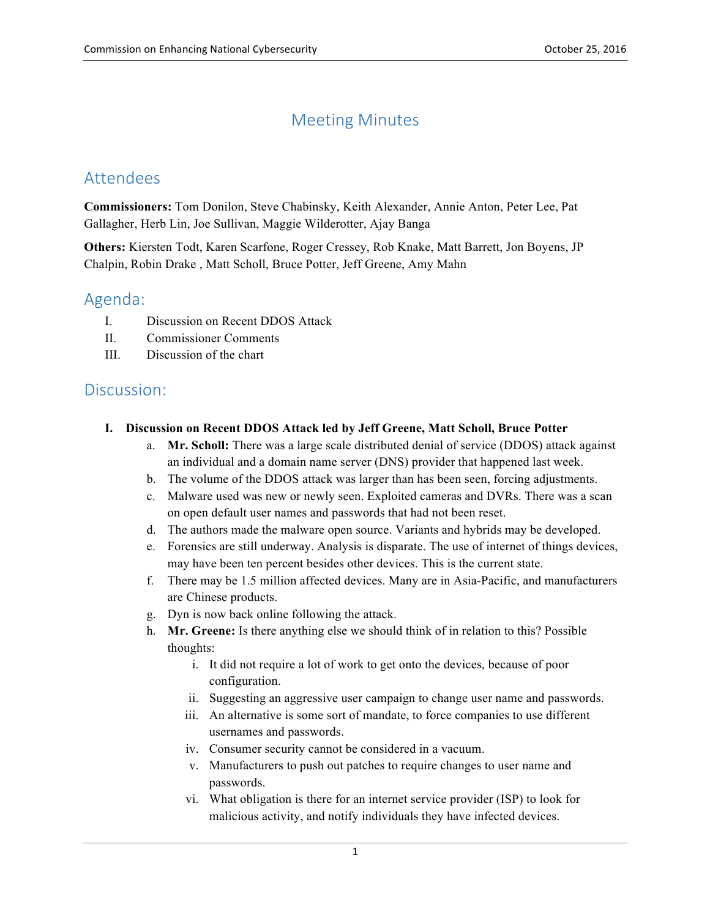# Meeting Minutes

## Attendees

 **Commissioners:** Tom Donilon, Steve Chabinsky, Keith Alexander, Annie Anton, Peter Lee, Pat Gallagher, Herb Lin, Joe Sullivan, Maggie Wilderotter, Ajay Banga

 **Others:** Kiersten Todt, Karen Scarfone, Roger Cressey, Rob Knake, Matt Barrett, Jon Boyens, JP Chalpin, Robin Drake , Matt Scholl, Bruce Potter, Jeff Greene, Amy Mahn

## Agenda:

- I. Discussion on Recent DDOS Attack
- II. Commissioner Comments
- III. Discussion of the chart

### Discussion:

### **I. Discussion on Recent DDOS Attack led by Jeff Greene, Matt Scholl, Bruce Potter**

- a. **Mr. Scholl:** There was a large scale distributed denial of service (DDOS) attack against an individual and a domain name server (DNS) provider that happened last week.
- b. The volume of the DDOS attack was larger than has been seen, forcing adjustments.
- c. Malware used was new or newly seen. Exploited cameras and DVRs. There was a scan on open default user names and passwords that had not been reset.
- d. The authors made the malware open source. Variants and hybrids may be developed.
- e. Forensics are still underway. Analysis is disparate. The use of internet of things devices, may have been ten percent besides other devices. This is the current state.
- f. There may be 1.5 million affected devices. Many are in Asia-Pacific, and manufacturers are Chinese products.
- g. Dyn is now back online following the attack.
- h. **Mr. Greene:** Is there anything else we should think of in relation to this? Possible thoughts:
	- i. It did not require a lot of work to get onto the devices, because of poor configuration.
	- ii. Suggesting an aggressive user campaign to change user name and passwords.
	- iii. An alternative is some sort of mandate, to force companies to use different usernames and passwords.
	- iv. Consumer security cannot be considered in a vacuum.
	- v. Manufacturers to push out patches to require changes to user name and passwords.
	- vi. What obligation is there for an internet service provider (ISP) to look for malicious activity, and notify individuals they have infected devices.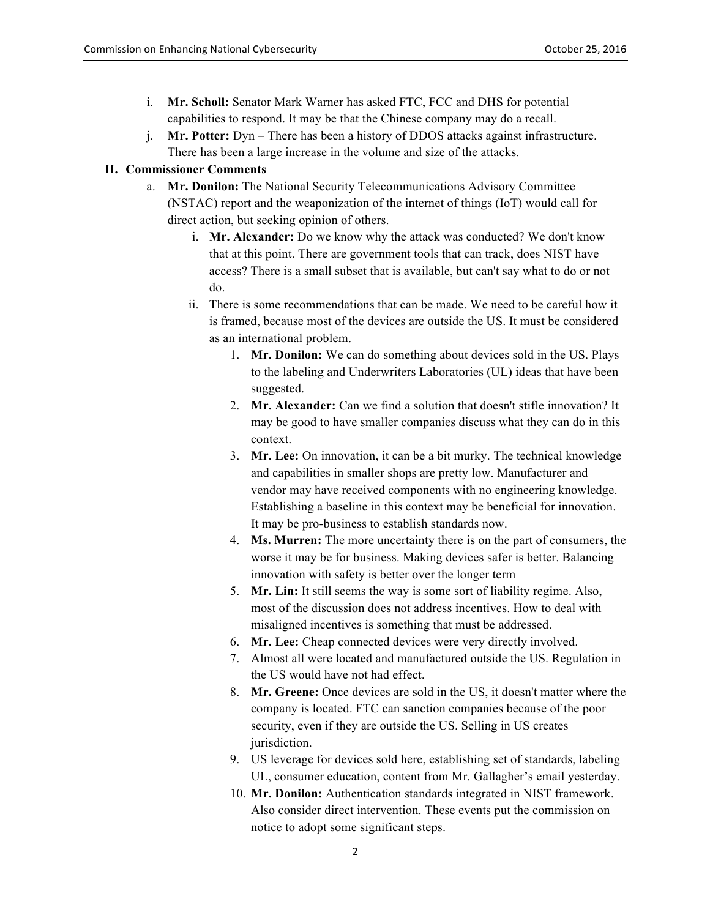- i. **Mr. Scholl:** Senator Mark Warner has asked FTC, FCC and DHS for potential capabilities to respond. It may be that the Chinese company may do a recall.
- j. **Mr. Potter:** Dyn There has been a history of DDOS attacks against infrastructure. There has been a large increase in the volume and size of the attacks.

### **II. Commissioner Comments**

- a. **Mr. Donilon:** The National Security Telecommunications Advisory Committee (NSTAC) report and the weaponization of the internet of things (IoT) would call for direct action, but seeking opinion of others.
	- i. **Mr. Alexander:** Do we know why the attack was conducted? We don't know access? There is a small subset that is available, but can't say what to do or not that at this point. There are government tools that can track, does NIST have do.
	- ii. There is some recommendations that can be made. We need to be careful how it as an international problem. is framed, because most of the devices are outside the US. It must be considered
		- 1. **Mr. Donilon:** We can do something about devices sold in the US. Plays to the labeling and Underwriters Laboratories (UL) ideas that have been suggested.
		- 2. **Mr. Alexander:** Can we find a solution that doesn't stifle innovation? It may be good to have smaller companies discuss what they can do in this context.
		- 3. **Mr. Lee:** On innovation, it can be a bit murky. The technical knowledge and capabilities in smaller shops are pretty low. Manufacturer and vendor may have received components with no engineering knowledge. Establishing a baseline in this context may be beneficial for innovation. It may be pro-business to establish standards now.
		- 4. **Ms. Murren:** The more uncertainty there is on the part of consumers, the worse it may be for business. Making devices safer is better. Balancing innovation with safety is better over the longer term
		- 5. **Mr. Lin:** It still seems the way is some sort of liability regime. Also, most of the discussion does not address incentives. How to deal with misaligned incentives is something that must be addressed.
		- 6. **Mr. Lee:** Cheap connected devices were very directly involved.
		- 7. Almost all were located and manufactured outside the US. Regulation in the US would have not had effect.
		- 8. **Mr. Greene:** Once devices are sold in the US, it doesn't matter where the company is located. FTC can sanction companies because of the poor security, even if they are outside the US. Selling in US creates jurisdiction.
		- jurisdiction.<br>9. US leverage for devices sold here, establishing set of standards, labeling UL, consumer education, content from Mr. Gallagher's email yesterday.
		- 10. **Mr. Donilon:** Authentication standards integrated in NIST framework. Also consider direct intervention. These events put the commission on notice to adopt some significant steps.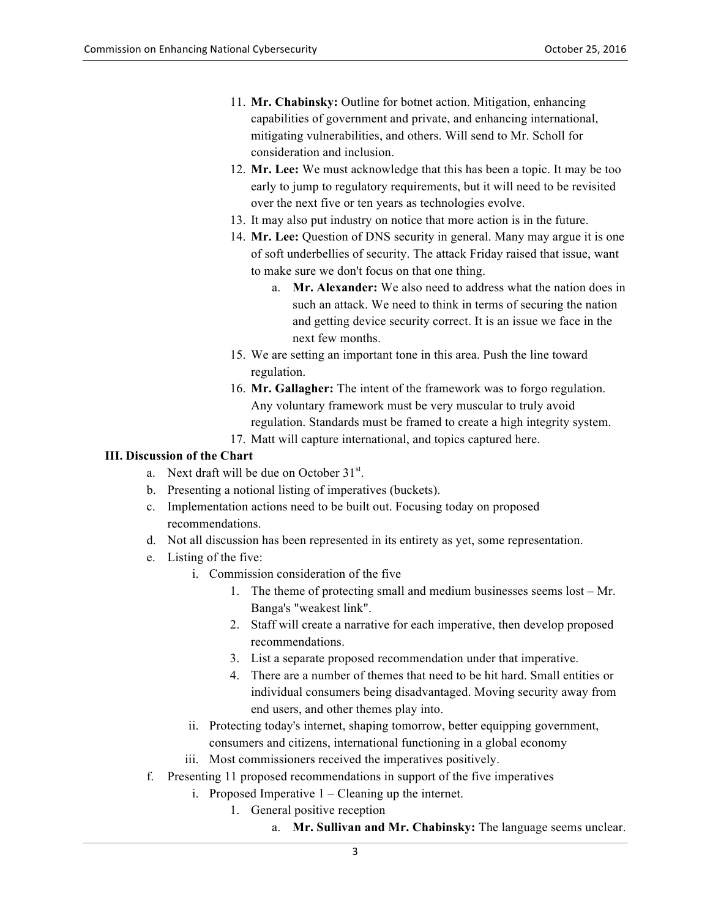- 11. **Mr. Chabinsky:** Outline for botnet action. Mitigation, enhancing capabilities of government and private, and enhancing international, mitigating vulnerabilities, and others. Will send to Mr. Scholl for consideration and inclusion.
- 12. **Mr. Lee:** We must acknowledge that this has been a topic. It may be too early to jump to regulatory requirements, but it will need to be revisited over the next five or ten years as technologies evolve.
- 13. It may also put industry on notice that more action is in the future.
- 14. **Mr. Lee:** Question of DNS security in general. Many may argue it is one of soft underbellies of security. The attack Friday raised that issue, want to make sure we don't focus on that one thing.
	- a. **Mr. Alexander:** We also need to address what the nation does in such an attack. We need to think in terms of securing the nation and getting device security correct. It is an issue we face in the next few months.
- 15. We are setting an important tone in this area. Push the line toward regulation.
- Any voluntary framework must be very muscular to truly avoid regulation. Standards must be framed to create a high integrity system. 16. **Mr. Gallagher:** The intent of the framework was to forgo regulation.
- 17. Matt will capture international, and topics captured here.

### **III. Discussion of the Chart**

- a. Next draft will be due on October  $31<sup>st</sup>$ .
- b. Presenting a notional listing of imperatives (buckets).
- c. Implementation actions need to be built out. Focusing today on proposed recommendations.
- d. Not all discussion has been represented in its entirety as yet, some representation.
- e. Listing of the five:
	- i. Commission consideration of the five
		- 1. The theme of protecting small and medium businesses seems lost Mr. Banga's "weakest link".
		- 2. Staff will create a narrative for each imperative, then develop proposed recommendations.
		- 3. List a separate proposed recommendation under that imperative.
		- 4. There are a number of themes that need to be hit hard. Small entities or end users, and other themes play into. individual consumers being disadvantaged. Moving security away from
	- ii. Protecting today's internet, shaping tomorrow, better equipping government, consumers and citizens, international functioning in a global economy
	- iii. Most commissioners received the imperatives positively.
- f. Presenting 11 proposed recommendations in support of the five imperatives
	- i. Proposed Imperative  $1 -$ Cleaning up the internet.
		- 1. General positive reception
			- a. Mr. Sullivan and Mr. Chabinsky: The language seems unclear.